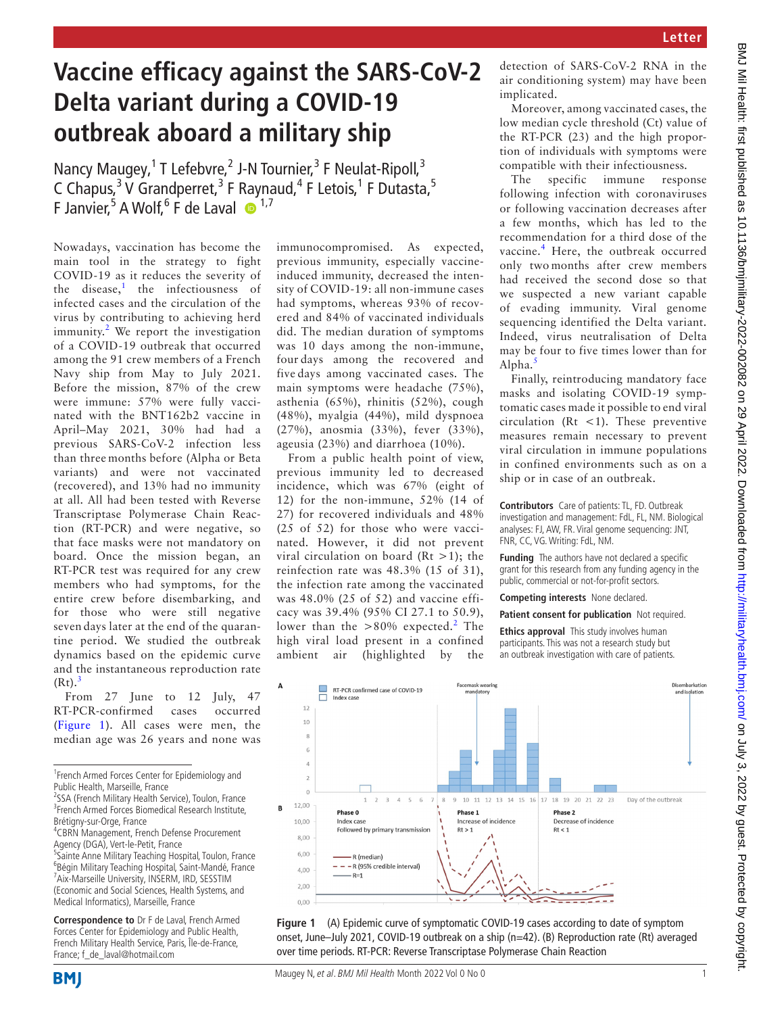## **Vaccine efficacy against the SARS-CoV-2 Delta variant during a COVID-19 outbreak aboard a military ship**

Nancy Maugey,<sup>1</sup> T Lefebvre,<sup>2</sup> J-N Tournier,<sup>3</sup> F Neulat-Ripoll,<sup>3</sup> C Chapus,<sup>3</sup> V Grandperret,<sup>3</sup> F Raynaud,<sup>4</sup> F Letois,<sup>1</sup> F Dutasta,<sup>5</sup> F Janvier,<sup>5</sup> A Wolf,<sup>6</sup> F de Laval  $\bullet$ <sup>1,7</sup>

Nowadays, vaccination has become the main tool in the strategy to fight COVID-19 as it reduces the severity of the disease,<sup>[1](#page-1-0)</sup> the infectiousness of infected cases and the circulation of the virus by contributing to achieving herd immunity.<sup>[2](#page-1-1)</sup> We report the investigation of a COVID-19 outbreak that occurred among the 91 crew members of a French Navy ship from May to July 2021. Before the mission, 87% of the crew were immune: 57% were fully vaccinated with the BNT162b2 vaccine in April–May 2021, 30% had had a previous SARS-CoV-2 infection less than three months before (Alpha or Beta variants) and were not vaccinated (recovered), and 13% had no immunity at all. All had been tested with Reverse Transcriptase Polymerase Chain Reaction (RT-PCR) and were negative, so that face masks were not mandatory on board. Once the mission began, an RT-PCR test was required for any crew members who had symptoms, for the entire crew before disembarking, and for those who were still negative seven days later at the end of the quarantine period. We studied the outbreak dynamics based on the epidemic curve and the instantaneous reproduction rate  $(Rt).<sup>3</sup>$  $(Rt).<sup>3</sup>$  $(Rt).<sup>3</sup>$ 

From 27 June to 12 July, 47 RT-PCR-confirmed cases occurred ([Figure](#page-0-0) 1). All cases were men, the median age was 26 years and none was

<sup>1</sup> French Armed Forces Center for Epidemiology and Public Health, Marseille, France

<sup>5</sup>Sainte Anne Military Teaching Hospital, Toulon, France 6 Bégin Military Teaching Hospital, Saint-Mandé, France <sup>7</sup> <sup>7</sup> Aix-Marseille University, INSERM, IRD, SESSTIM (Economic and Social Sciences, Health Systems, and Medical Informatics), Marseille, France

**Correspondence to** Dr F de Laval, French Armed Forces Center for Epidemiology and Public Health, French Military Health Service, Paris, Île-de-France, France; f\_de\_laval@hotmail.com

immunocompromised. As expected, previous immunity, especially vaccineinduced immunity, decreased the intensity of COVID-19: all non-immune cases had symptoms, whereas 93% of recovered and 84% of vaccinated individuals did. The median duration of symptoms was 10 days among the non-immune, four days among the recovered and five days among vaccinated cases. The main symptoms were headache (75%), asthenia (65%), rhinitis (52%), cough (48%), myalgia (44%), mild dyspnoea (27%), anosmia (33%), fever (33%), ageusia (23%) and diarrhoea (10%).

From a public health point of view, previous immunity led to decreased incidence, which was 67% (eight of 12) for the non-immune, 52% (14 of 27) for recovered individuals and 48% (25 of 52) for those who were vaccinated. However, it did not prevent viral circulation on board ( $Rt > 1$ ); the reinfection rate was 48.3% (15 of 31), the infection rate among the vaccinated was 48.0% (25 of 52) and vaccine efficacy was 39.4% (95% CI 27.1 to 50.9), lower than the  $> 80\%$  expected.<sup>[2](#page-1-1)</sup> The high viral load present in a confined ambient air (highlighted by the

detection of SARS-CoV-2 RNA in the air conditioning system) may have been implicated.

Moreover, among vaccinated cases, the low median cycle threshold (Ct) value of the RT-PCR (23) and the high proportion of individuals with symptoms were compatible with their infectiousness.

The specific immune response following infection with coronaviruses or following vaccination decreases after a few months, which has led to the recommendation for a third dose of the vaccine.<sup>[4](#page-1-3)</sup> Here, the outbreak occurred only two months after crew members had received the second dose so that we suspected a new variant capable of evading immunity. Viral genome sequencing identified the Delta variant. Indeed, virus neutralisation of Delta may be four to five times lower than for Alpha.[5](#page-1-4)

Finally, reintroducing mandatory face masks and isolating COVID-19 symptomatic cases made it possible to end viral circulation (Rt  $\lt$ 1). These preventive measures remain necessary to prevent viral circulation in immune populations in confined environments such as on a ship or in case of an outbreak.

**Contributors** Care of patients: TL, FD. Outbreak investigation and management: FdL, FL, NM. Biological analyses: FJ, AW, FR. Viral genome sequencing: JNT, FNR, CC, VG. Writing: FdL, NM.

**Funding** The authors have not declared a specific grant for this research from any funding agency in the public, commercial or not-for-profit sectors.

**Competing interests** None declared.

**Patient consent for publication** Not required.

**Ethics approval** This study involves human participants. This was not a research study but an outbreak investigation with care of patients.



<span id="page-0-0"></span>



<sup>&</sup>lt;sup>2</sup>SSA (French Military Health Service), Toulon, France <sup>3</sup> French Armed Forces Biomedical Research Institute, Brétigny-sur-Orge, France <sup>4</sup>

<sup>&</sup>lt;sup>4</sup>CBRN Management, French Defense Procurement Agency (DGA), Vert-le-Petit, France <sup>5</sup>